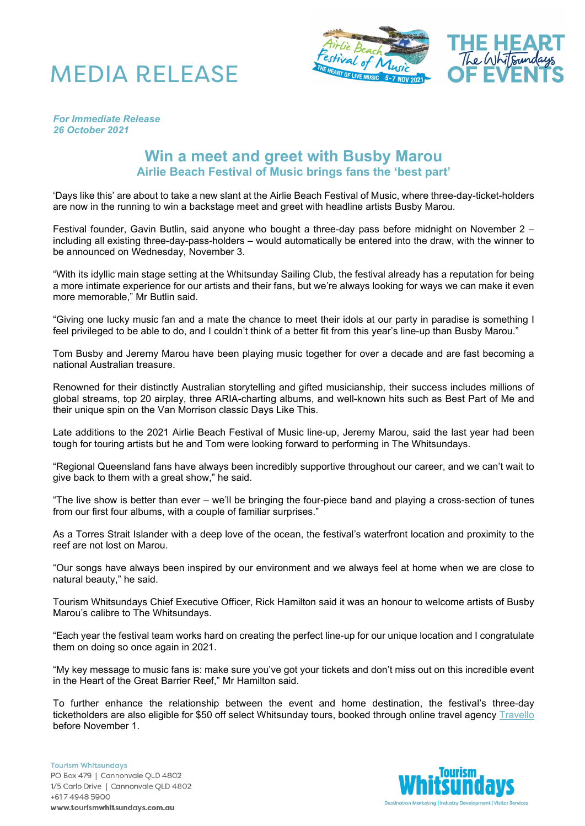



*For Immediate Release 26 October 2021*

## **Win a meet and greet with Busby Marou Airlie Beach Festival of Music brings fans the 'best part'**

'Days like this' are about to take a new slant at the Airlie Beach Festival of Music, where three-day-ticket-holders are now in the running to win a backstage meet and greet with headline artists Busby Marou.

Festival founder, Gavin Butlin, said anyone who bought a three-day pass before midnight on November 2 – including all existing three-day-pass-holders – would automatically be entered into the draw, with the winner to be announced on Wednesday, November 3.

"With its idyllic main stage setting at the Whitsunday Sailing Club, the festival already has a reputation for being a more intimate experience for our artists and their fans, but we're always looking for ways we can make it even more memorable," Mr Butlin said.

"Giving one lucky music fan and a mate the chance to meet their idols at our party in paradise is something I feel privileged to be able to do, and I couldn't think of a better fit from this year's line-up than Busby Marou."

Tom Busby and Jeremy Marou have been playing music together for over a decade and are fast becoming a national Australian treasure.

Renowned for their distinctly Australian storytelling and gifted musicianship, their success includes millions of global streams, top 20 airplay, three ARIA-charting albums, and well-known hits such as Best Part of Me and their unique spin on the Van Morrison classic Days Like This.

Late additions to the 2021 Airlie Beach Festival of Music line-up, Jeremy Marou, said the last year had been tough for touring artists but he and Tom were looking forward to performing in The Whitsundays.

"Regional Queensland fans have always been incredibly supportive throughout our career, and we can't wait to give back to them with a great show," he said.

"The live show is better than ever – we'll be bringing the four-piece band and playing a cross-section of tunes from our first four albums, with a couple of familiar surprises."

As a Torres Strait Islander with a deep love of the ocean, the festival's waterfront location and proximity to the reef are not lost on Marou.

"Our songs have always been inspired by our environment and we always feel at home when we are close to natural beauty," he said.

Tourism Whitsundays Chief Executive Officer, Rick Hamilton said it was an honour to welcome artists of Busby Marou's calibre to The Whitsundays.

"Each year the festival team works hard on creating the perfect line-up for our unique location and I congratulate them on doing so once again in 2021.

"My key message to music fans is: make sure you've got your tickets and don't miss out on this incredible event in the Heart of the Great Barrier Reef," Mr Hamilton said.

To further enhance the relationship between the event and home destination, the festival's three-day ticketholders are also eligible for \$50 off select Whitsunday tours, booked through online travel agency [Travello](https://experiences.travelloapp.com/airlie-beach-festival-of-music) before November 1.

**Tourism Whitsundays** PO Box 479 | Cannonvale QLD 4802 1/5 Carlo Drive | Cannonvale QLD 4802 +617 4948 5900 www.tourismwhitsundays.com.au